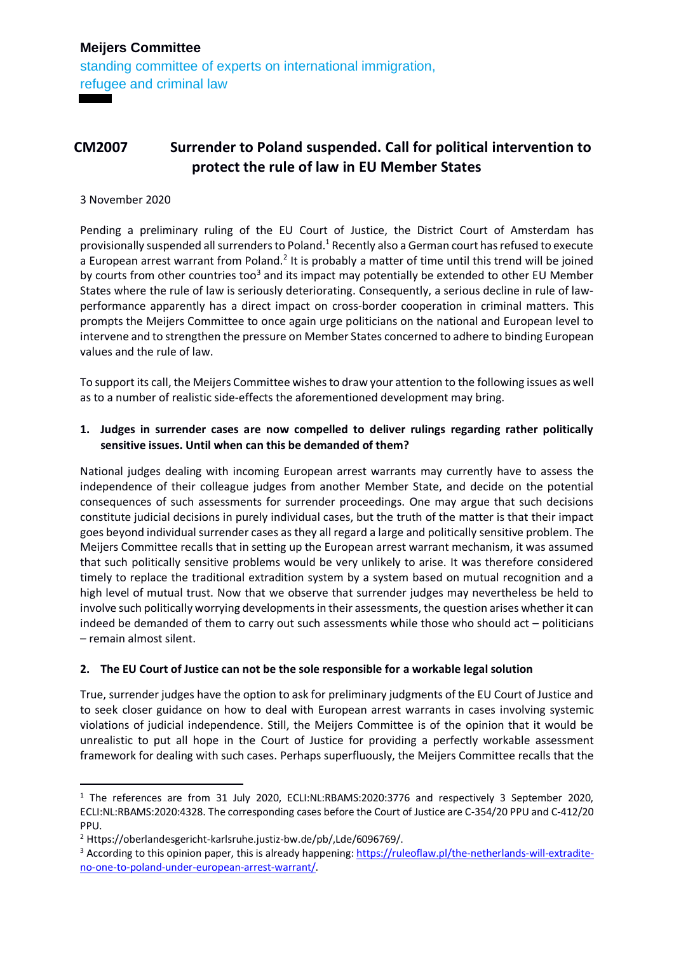# **CM2007 Surrender to Poland suspended. Call for political intervention to protect the rule of law in EU Member States**

3 November 2020

Pending a preliminary ruling of the EU Court of Justice, the District Court of Amsterdam has provisionally suspended all surrenders to Poland.<sup>1</sup> Recently also a German court has refused to execute a European arrest warrant from Poland.<sup>2</sup> It is probably a matter of time until this trend will be joined by courts from other countries too<sup>3</sup> and its impact may potentially be extended to other EU Member States where the rule of law is seriously deteriorating. Consequently, a serious decline in rule of lawperformance apparently has a direct impact on cross-border cooperation in criminal matters. This prompts the Meijers Committee to once again urge politicians on the national and European level to intervene and to strengthen the pressure on Member States concerned to adhere to binding European values and the rule of law.

To support its call, the Meijers Committee wishes to draw your attention to the following issues as well as to a number of realistic side-effects the aforementioned development may bring.

#### **1. Judges in surrender cases are now compelled to deliver rulings regarding rather politically sensitive issues. Until when can this be demanded of them?**

National judges dealing with incoming European arrest warrants may currently have to assess the independence of their colleague judges from another Member State, and decide on the potential consequences of such assessments for surrender proceedings. One may argue that such decisions constitute judicial decisions in purely individual cases, but the truth of the matter is that their impact goes beyond individual surrender cases as they all regard a large and politically sensitive problem. The Meijers Committee recalls that in setting up the European arrest warrant mechanism, it was assumed that such politically sensitive problems would be very unlikely to arise. It was therefore considered timely to replace the traditional extradition system by a system based on mutual recognition and a high level of mutual trust. Now that we observe that surrender judges may nevertheless be held to involve such politically worrying developments in their assessments, the question arises whether it can indeed be demanded of them to carry out such assessments while those who should act – politicians – remain almost silent.

#### **2. The EU Court of Justice can not be the sole responsible for a workable legal solution**

True, surrender judges have the option to ask for preliminary judgments of the EU Court of Justice and to seek closer guidance on how to deal with European arrest warrants in cases involving systemic violations of judicial independence. Still, the Meijers Committee is of the opinion that it would be unrealistic to put all hope in the Court of Justice for providing a perfectly workable assessment framework for dealing with such cases. Perhaps superfluously, the Meijers Committee recalls that the

<sup>&</sup>lt;sup>1</sup> The references are from 31 July 2020, ECLI:NL:RBAMS:2020:3776 and respectively 3 September 2020, ECLI:NL:RBAMS:2020:4328. The corresponding cases before the Court of Justice are C-354/20 PPU and C-412/20 PPU.

<sup>2</sup> Https://oberlandesgericht-karlsruhe.justiz-bw.de/pb/,Lde/6096769/.

<sup>&</sup>lt;sup>3</sup> According to this opinion paper, this is already happening: [https://ruleoflaw.pl/the-netherlands-will-extradite](https://ruleoflaw.pl/the-netherlands-will-extradite-no-one-to-poland-under-european-arrest-warrant/)[no-one-to-poland-under-european-arrest-warrant/.](https://ruleoflaw.pl/the-netherlands-will-extradite-no-one-to-poland-under-european-arrest-warrant/)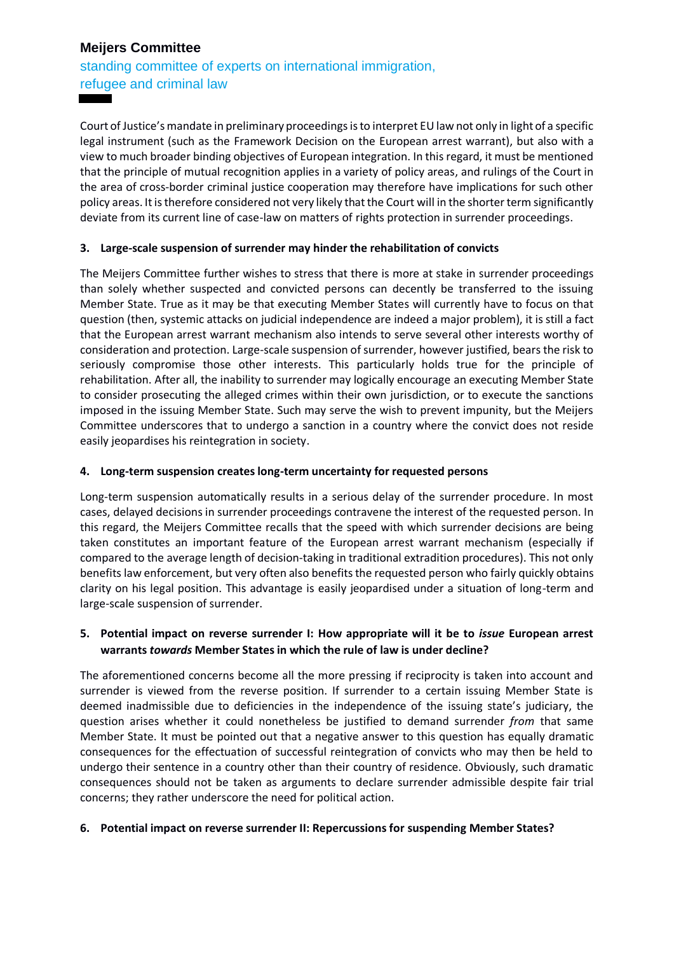## **Meijers Committee**

standing committee of experts on international immigration, refugee and criminal law

Court of Justice'smandate in preliminary proceedings is to interpret EU law not only in light of a specific legal instrument (such as the Framework Decision on the European arrest warrant), but also with a view to much broader binding objectives of European integration. In this regard, it must be mentioned that the principle of mutual recognition applies in a variety of policy areas, and rulings of the Court in the area of cross-border criminal justice cooperation may therefore have implications for such other policy areas. It is therefore considered not very likely that the Court will in the shorter term significantly deviate from its current line of case-law on matters of rights protection in surrender proceedings.

#### **3. Large-scale suspension of surrender may hinder the rehabilitation of convicts**

The Meijers Committee further wishes to stress that there is more at stake in surrender proceedings than solely whether suspected and convicted persons can decently be transferred to the issuing Member State. True as it may be that executing Member States will currently have to focus on that question (then, systemic attacks on judicial independence are indeed a major problem), it is still a fact that the European arrest warrant mechanism also intends to serve several other interests worthy of consideration and protection. Large-scale suspension of surrender, however justified, bears the risk to seriously compromise those other interests. This particularly holds true for the principle of rehabilitation. After all, the inability to surrender may logically encourage an executing Member State to consider prosecuting the alleged crimes within their own jurisdiction, or to execute the sanctions imposed in the issuing Member State. Such may serve the wish to prevent impunity, but the Meijers Committee underscores that to undergo a sanction in a country where the convict does not reside easily jeopardises his reintegration in society.

#### **4. Long-term suspension creates long-term uncertainty for requested persons**

Long-term suspension automatically results in a serious delay of the surrender procedure. In most cases, delayed decisions in surrender proceedings contravene the interest of the requested person. In this regard, the Meijers Committee recalls that the speed with which surrender decisions are being taken constitutes an important feature of the European arrest warrant mechanism (especially if compared to the average length of decision-taking in traditional extradition procedures). This not only benefits law enforcement, but very often also benefits the requested person who fairly quickly obtains clarity on his legal position. This advantage is easily jeopardised under a situation of long-term and large-scale suspension of surrender.

#### **5. Potential impact on reverse surrender I: How appropriate will it be to** *issue* **European arrest warrants** *towards* **Member States in which the rule of law is under decline?**

The aforementioned concerns become all the more pressing if reciprocity is taken into account and surrender is viewed from the reverse position. If surrender to a certain issuing Member State is deemed inadmissible due to deficiencies in the independence of the issuing state's judiciary, the question arises whether it could nonetheless be justified to demand surrender *from* that same Member State. It must be pointed out that a negative answer to this question has equally dramatic consequences for the effectuation of successful reintegration of convicts who may then be held to undergo their sentence in a country other than their country of residence. Obviously, such dramatic consequences should not be taken as arguments to declare surrender admissible despite fair trial concerns; they rather underscore the need for political action.

#### **6. Potential impact on reverse surrender II: Repercussions for suspending Member States?**